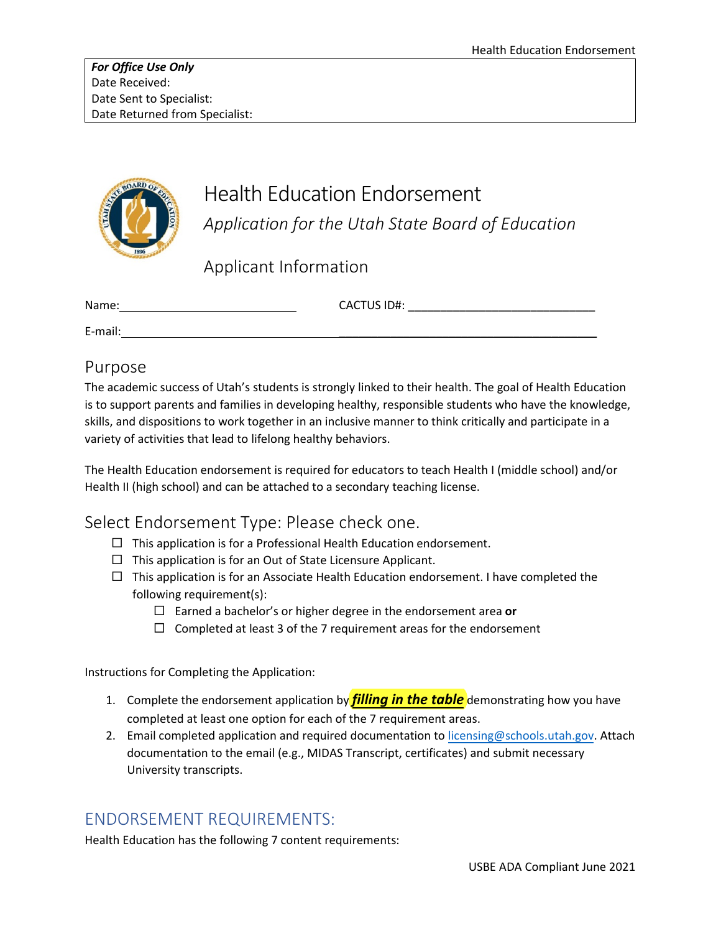

# Health Education Endorsement *Application for the Utah State Board of Education*

Applicant Information

| Name:   | <b>CACTUS ID#:</b> |
|---------|--------------------|
| E-mail: |                    |

# Purpose

The academic success of Utah's students is strongly linked to their health. The goal of Health Education is to support parents and families in developing healthy, responsible students who have the knowledge, skills, and dispositions to work together in an inclusive manner to think critically and participate in a variety of activities that lead to lifelong healthy behaviors.

The Health Education endorsement is required for educators to teach Health I (middle school) and/or Health II (high school) and can be attached to a secondary teaching license.

### Select Endorsement Type: Please check one.

- $\Box$  This application is for a Professional Health Education endorsement.
- $\Box$  This application is for an Out of State Licensure Applicant.
- $\Box$  This application is for an Associate Health Education endorsement. I have completed the following requirement(s):
	- Earned a bachelor's or higher degree in the endorsement area **or**
	- $\Box$  Completed at least 3 of the 7 requirement areas for the endorsement

Instructions for Completing the Application:

- 1. Complete the endorsement application by *filling in the table* demonstrating how you have completed at least one option for each of the 7 requirement areas.
- 2. Email completed application and required documentation to [licensing@schools.utah.gov.](mailto:licensing@schools.utah.gov) Attach documentation to the email (e.g., MIDAS Transcript, certificates) and submit necessary University transcripts.

# ENDORSEMENT REQUIREMENTS:

Health Education has the following 7 content requirements: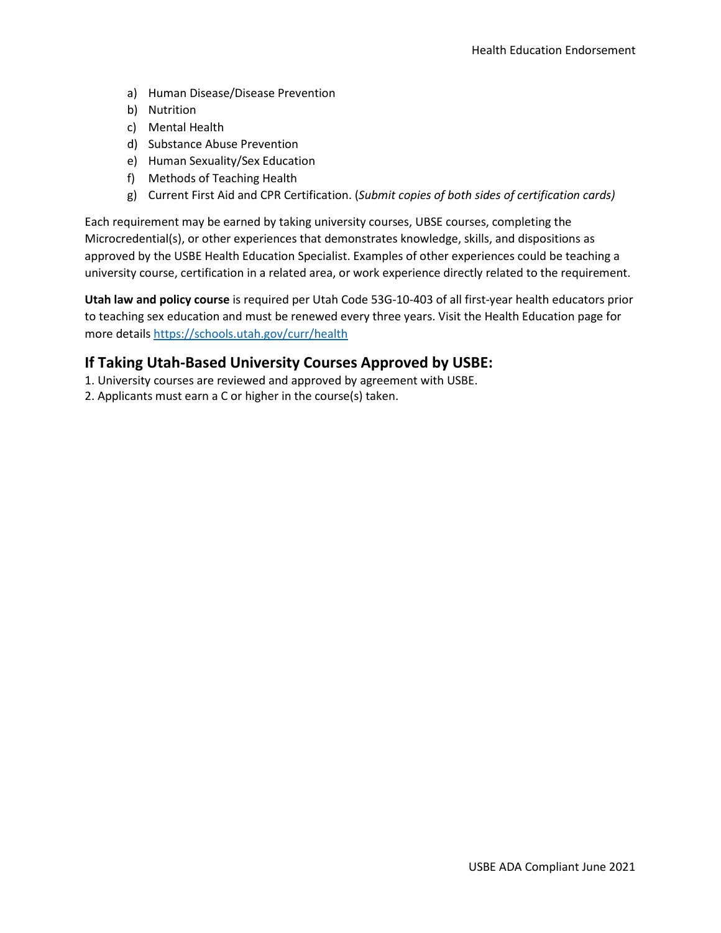- a) Human Disease/Disease Prevention
- b) Nutrition
- c) Mental Health
- d) Substance Abuse Prevention
- e) Human Sexuality/Sex Education
- f) Methods of Teaching Health
- g) Current First Aid and CPR Certification. (*Submit copies of both sides of certification cards)*

Each requirement may be earned by taking university courses, UBSE courses, completing the Microcredential(s), or other experiences that demonstrates knowledge, skills, and dispositions as approved by the USBE Health Education Specialist. Examples of other experiences could be teaching a university course, certification in a related area, or work experience directly related to the requirement.

**Utah law and policy course** is required per Utah Code 53G-10-403 of all first-year health educators prior to teaching sex education and must be renewed every three years. Visit the Health Education page for more detail[s https://schools.utah.gov/curr/health](https://schools.utah.gov/curr/health) 

#### **If Taking Utah-Based University Courses Approved by USBE:**

- 1. University courses are reviewed and approved by agreement with USBE.
- 2. Applicants must earn a C or higher in the course(s) taken.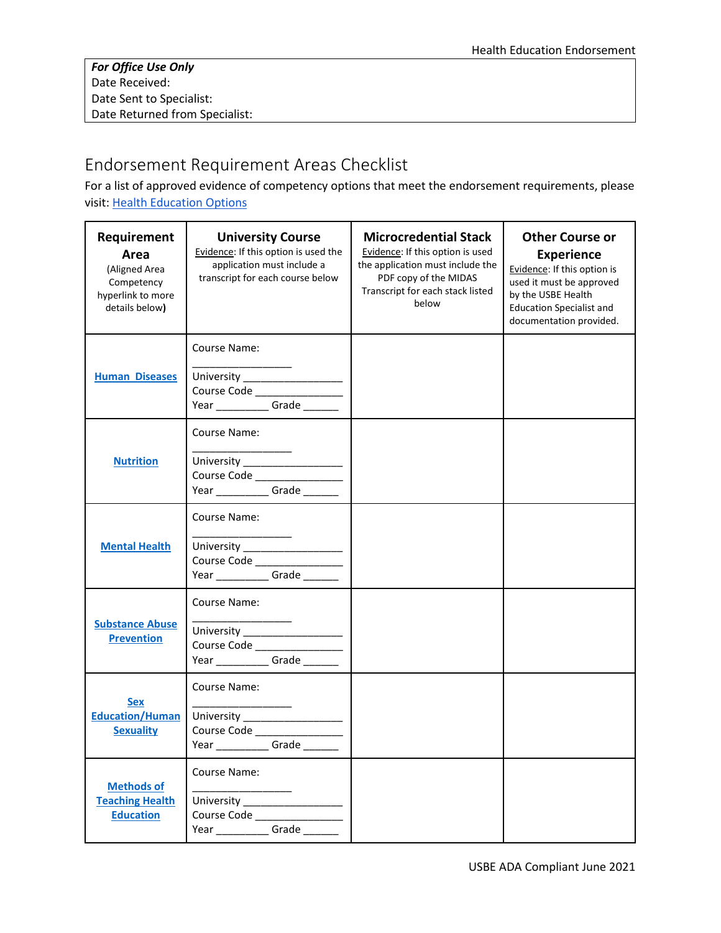# Endorsement Requirement Areas Checklist

For a list of approved evidence of competency options that meet the endorsement requirements, please visit[: Health Education Options](https://drive.google.com/file/d/1qMfQo1K9X3zUiOMhHcXTCk9lsOM4wRCw/view?usp=sharing)

| Requirement<br>Area<br>(Aligned Area<br>Competency<br>hyperlink to more<br>details below) | <b>University Course</b><br>Evidence: If this option is used the<br>application must include a<br>transcript for each course below | <b>Microcredential Stack</b><br>Evidence: If this option is used<br>the application must include the<br>PDF copy of the MIDAS<br>Transcript for each stack listed<br>below | <b>Other Course or</b><br><b>Experience</b><br>Evidence: If this option is<br>used it must be approved<br>by the USBE Health<br><b>Education Specialist and</b><br>documentation provided. |
|-------------------------------------------------------------------------------------------|------------------------------------------------------------------------------------------------------------------------------------|----------------------------------------------------------------------------------------------------------------------------------------------------------------------------|--------------------------------------------------------------------------------------------------------------------------------------------------------------------------------------------|
| <b>Human Diseases</b>                                                                     | Course Name:<br>University _________________<br>Course Code _________________<br>Year ______________Grade ________                 |                                                                                                                                                                            |                                                                                                                                                                                            |
| <b>Nutrition</b>                                                                          | Course Name:<br>University __________________<br>Course Code ______________<br>Year ______________Grade ________                   |                                                                                                                                                                            |                                                                                                                                                                                            |
| <b>Mental Health</b>                                                                      | Course Name:<br>University __________________<br>Course Code _____________<br>Year ______________Grade ________                    |                                                                                                                                                                            |                                                                                                                                                                                            |
| <b>Substance Abuse</b><br><b>Prevention</b>                                               | Course Name:<br>University __________________<br>Course Code<br>Year ______________Grade ________                                  |                                                                                                                                                                            |                                                                                                                                                                                            |
| <b>Sex</b><br><b>Education/Human</b><br><b>Sexuality</b>                                  | Course Name:<br>University __________________<br>Course Code<br>Grade<br>Year                                                      |                                                                                                                                                                            |                                                                                                                                                                                            |
| <b>Methods of</b><br><b>Teaching Health</b><br><b>Education</b>                           | Course Name:<br>Course Code ________________<br>Year ______________Grade ________                                                  |                                                                                                                                                                            |                                                                                                                                                                                            |